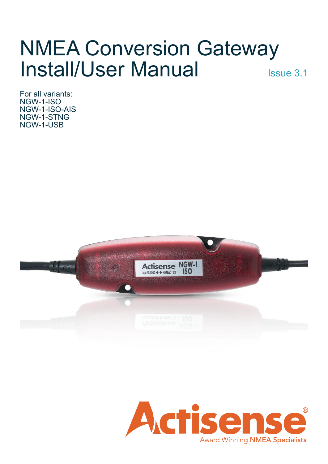# NMEA Conversion Gateway Install/User Manual Issue 3.1

For all variants: NGW-1-ISO NGW-1-ISO-AIS NGW-1-STNG NGW-1-USB



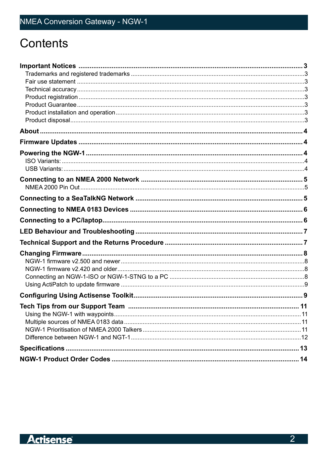# **Contents**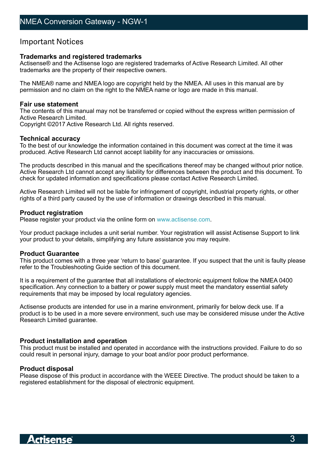### <span id="page-2-0"></span>Important Notices

#### **Trademarks and registered trademarks**

Actisense® and the Actisense logo are registered trademarks of Active Research Limited. All other trademarks are the property of their respective owners.

The NMEA® name and NMEA logo are copyright held by the NMEA. All uses in this manual are by permission and no claim on the right to the NMEA name or logo are made in this manual.

#### **Fair use statement**

The contents of this manual may not be transferred or copied without the express written permission of Active Research Limited.

Copyright ©2017 Active Research Ltd. All rights reserved.

#### **Technical accuracy**

To the best of our knowledge the information contained in this document was correct at the time it was produced. Active Research Ltd cannot accept liability for any inaccuracies or omissions.

The products described in this manual and the specifications thereof may be changed without prior notice. Active Research Ltd cannot accept any liability for differences between the product and this document. To check for updated information and specifications please contact Active Research Limited.

Active Research Limited will not be liable for infringement of copyright, industrial property rights, or other rights of a third party caused by the use of information or drawings described in this manual.

#### **Product registration**

Please register your product via the online form on [www.actisense.com](http://www.actisense.com).

Your product package includes a unit serial number. Your registration will assist Actisense Support to link your product to your details, simplifying any future assistance you may require.

#### **Product Guarantee**

This product comes with a three year 'return to base' guarantee. If you suspect that the unit is faulty please refer to the Troubleshooting Guide section of this document.

It is a requirement of the guarantee that all installations of electronic equipment follow the NMEA 0400 specification. Any connection to a battery or power supply must meet the mandatory essential safety requirements that may be imposed by local regulatory agencies.

Actisense products are intended for use in a marine environment, primarily for below deck use. If a product is to be used in a more severe environment, such use may be considered misuse under the Active Research Limited guarantee.

#### **Product installation and operation**

This product must be installed and operated in accordance with the instructions provided. Failure to do so could result in personal injury, damage to your boat and/or poor product performance.

#### **Product disposal**

Please dispose of this product in accordance with the WEEE Directive. The product should be taken to a registered establishment for the disposal of electronic equipment.

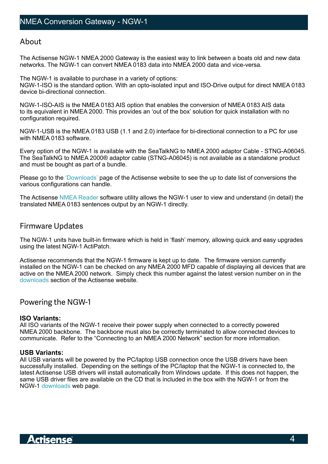### <span id="page-3-0"></span>About

The Actisense NGW-1 NMEA 2000 Gateway is the easiest way to link between a boats old and new data networks. The NGW-1 can convert NMEA 0183 data into NMEA 2000 data and vice-versa.

The NGW-1 is available to purchase in a variety of options: NGW-1-ISO is the standard option. With an opto-isolated input and ISO-Drive output for direct NMEA 0183 device bi-directional connection.

NGW-1-ISO-AIS is the NMEA 0183 AIS option that enables the conversion of NMEA 0183 AIS data to its equivalent in NMEA 2000. This provides an 'out of the box' solution for quick installation with no configuration required.

NGW-1-USB is the NMEA 0183 USB (1.1 and 2.0) interface for bi-directional connection to a PC for use with NMEA 0183 software.

Every option of the NGW-1 is available with the SeaTalkNG to NMEA 2000 adaptor Cable - STNG-A06045. The SeaTalkNG to NMEA 2000® adaptor cable (STNG-A06045) is not available as a standalone product and must be bought as part of a bundle.

Please go to the ['Downloads'](http://www.actisense.com/media/?product=ngw-1&type=downloads) page of the Actisense website to see the up to date list of conversions the various configurations can handle.

The Actisense [NMEA Reader](http://www.actisense.com/product/nmea-reader-and-ebl-reader/) software utility allows the NGW-1 user to view and understand (in detail) the translated NMEA 0183 sentences output by an NGW-1 directly.

# Firmware Updates

The NGW-1 units have built-in firmware which is held in 'flash' memory, allowing quick and easy upgrades using the latest NGW-1 ActiPatch.

Actisense recommends that the NGW-1 firmware is kept up to date. The firmware version currently installed on the NGW-1 can be checked on any NMEA 2000 MFD capable of displaying all devices that are active on the NMEA 2000 network. Simply check this number against the latest version number on in the [downloads](http://www.actisense.com/media/?product=ngw-1&type=downloads) section of the Actisense website.

## Powering the NGW-1

### **ISO Variants:**

All ISO variants of the NGW-1 receive their power supply when connected to a correctly powered NMEA 2000 backbone. The backbone must also be correctly terminated to allow connected devices to communicate. Refer to the "Connecting to an NMEA 2000 Network" section for more information.

### **USB Variants:**

All USB variants will be powered by the PC/laptop USB connection once the USB drivers have been successfully installed. Depending on the settings of the PC/laptop that the NGW-1 is connected to, the latest Actisense USB drivers will install automatically from Windows update. If this does not happen, the same USB driver files are available on the CD that is included in the box with the NGW-1 or from the NGW-1 d[ownloads](http://www.actisense.com/media/?product=ngw-1&type=downloads) web page.

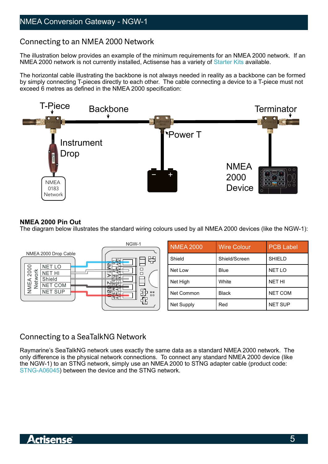# <span id="page-4-0"></span>Connecting to an NMEA 2000 Network

The illustration below provides an example of the minimum requirements for an NMEA 2000 network. If an NMEA 2000 network is not currently installed, Actisense has a variety of [Starter Kits](http://www.actisense.com/range/nmea-2000-network/) available.

The horizontal cable illustrating the backbone is not always needed in reality as a backbone can be formed by simply connecting T-pieces directly to each other. The cable connecting a device to a T-piece must not exceed 6 metres as defined in the NMEA 2000 specification:



### **NMEA 2000 Pin Out**

The diagram below illustrates the standard wiring colours used by all NMEA 2000 devices (like the NGW-1):



# Connecting to a SeaTalkNG Network

Raymarine's SeaTalkNG network uses exactly the same data as a standard NMEA 2000 network. The only difference is the physical network connections. To connect any standard NMEA 2000 device (like the NGW-1) to an STNG network, simply use an NMEA 2000 to STNG adapter cable (product code: [STNG-A06045](http://www.actisense.com/product/stng-a06045/)) between the device and the STNG network.

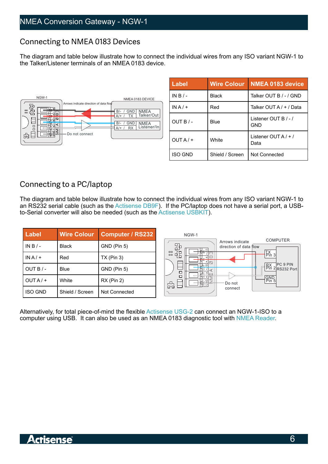# <span id="page-5-0"></span>Connecting to NMEA 0183 Devices

The diagram and table below illustrate how to connect the individual wires from any ISO variant NGW-1 to the Talker/Listener terminals of an NMEA 0183 device.



| <b>Label</b>   | <b>Wire Colour</b> | <b>NMEA 0183 device</b>              |  |  |
|----------------|--------------------|--------------------------------------|--|--|
| $INB/-$        | Black              | Talker OUT B / - / GND               |  |  |
| $INA/+$        | Red                | Talker OUT A / + / Data              |  |  |
| OUT B/-        | Blue               | Listener OUT B $/ - /$<br><b>GND</b> |  |  |
| $OUTA/+$       | White              | Listener OUT $A$ / + /<br>Data       |  |  |
| <b>ISO GND</b> | Shield / Screen    | Not Connected                        |  |  |

# Connecting to a PC/laptop

The diagram and table below illustrate how to connect the individual wires from any ISO variant NGW-1 to an RS232 serial cable (such as the [Actisense DB9F\)](https://www.actisense.com/product/db9-f/). If the PC/laptop does not have a serial port, a USBto-Serial converter will also be needed (such as the [Actisense USBKIT](https://www.actisense.com/product/usbkit-reg/)).

| Label          | <b>Wire Colour</b> | Computer / RS232 | NGW-1<br><b>COMPUTER</b>                                                                                                         |
|----------------|--------------------|------------------|----------------------------------------------------------------------------------------------------------------------------------|
| IN B $/ -$     | <b>Black</b>       | GND (Pin 5)      | Arrows indicate<br>品<br>direction of data flow                                                                                   |
| $INA/+$        | Red                | $TX$ (Pin 3)     | $\left[\begin{smallmatrix}\nX\\ Y\\ \end{smallmatrix}\right]$<br>$\Box$ $\Box$<br><b>LI —</b><br>$\square$ $\square$<br>ন∞<br>ыr |
| OUT B $/ -$    | <b>Blue</b>        | GND (Pin 5)      | <b>PC 9 PIN</b><br>$\left \begin{array}{c} RX \\ P\text{in } 2\end{array}\right $ PC 9 PIN<br>나는 미<br>Ħក<br>$\square$            |
| $OUTA/+$       | White              | $RX$ (Pin 2)     | $\Box$<br>$\frac{1}{2}$<br>#幅引之<br>읎<br>Do not                                                                                   |
| <b>ISO GND</b> | Shield / Screen    | Not Connected    | connect                                                                                                                          |

Alternatively, for total piece-of-mind the flexible [Actisense USG-2](https://www.actisense.com/product/usg-2/) can connect an NGW-1-ISO to a computer using USB. It can also be used as an NMEA 0183 diagnostic tool with [NMEA Reader.](https://www.actisense.com/product/nmea-reader-and-ebl-reader/)

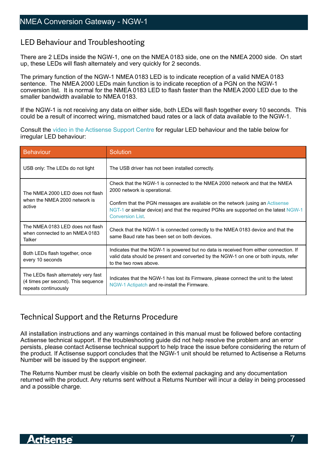# <span id="page-6-0"></span>LED Behaviour and Troubleshooting

There are 2 LEDs inside the NGW-1, one on the NMEA 0183 side, one on the NMEA 2000 side. On start up, these LEDs will flash alternately and very quickly for 2 seconds.

The primary function of the NGW-1 NMEA 0183 LED is to indicate reception of a valid NMEA 0183 sentence. The NMEA 2000 LEDs main function is to indicate reception of a PGN on the NGW-1 conversion list. It is normal for the NMEA 0183 LED to flash faster than the NMEA 2000 LED due to the smaller bandwidth available to NMEA 0183.

If the NGW-1 is not receiving any data on either side, both LEDs will flash together every 10 seconds. This could be a result of incorrect wiring, mismatched baud rates or a lack of data available to the NGW-1.

Consult the [video in the Actisense Support Centre](https://desk.zoho.eu/portal/actisense/kb/articles/normal-led-behaviour) for regular LED behaviour and the table below for irregular LED behaviour:

| <b>Behaviour</b>                                                                                    | <b>Solution</b>                                                                                                                                                                                                                                                                                                    |
|-----------------------------------------------------------------------------------------------------|--------------------------------------------------------------------------------------------------------------------------------------------------------------------------------------------------------------------------------------------------------------------------------------------------------------------|
| USB only: The LEDs do not light                                                                     | The USB driver has not been installed correctly.                                                                                                                                                                                                                                                                   |
| The NMEA 2000 LED does not flash<br>when the NMEA 2000 network is<br>active                         | Check that the NGW-1 is connected to the NMEA 2000 network and that the NMEA<br>2000 network is operational.<br>Confirm that the PGN messages are available on the network (using an Actisense<br>NGT-1 or similar device) and that the required PGNs are supported on the latest NGW-1<br><b>Conversion List.</b> |
| The NMEA 0183 LED does not flash<br>when connected to an NMEA 0183<br>Talker                        | Check that the NGW-1 is connected correctly to the NMEA 0183 device and that the<br>same Baud rate has been set on both devices.                                                                                                                                                                                   |
| Both LEDs flash together, once<br>every 10 seconds                                                  | Indicates that the NGW-1 is powered but no data is received from either connection. If<br>valid data should be present and converted by the NGW-1 on one or both inputs, refer<br>to the two rows above.                                                                                                           |
| The LEDs flash alternately very fast<br>(4 times per second). This sequence<br>repeats continuously | Indicates that the NGW-1 has lost its Firmware, please connect the unit to the latest<br>NGW-1 Actipatch and re-install the Firmware.                                                                                                                                                                              |

# Technical Support and the Returns Procedure

All installation instructions and any warnings contained in this manual must be followed before contacting Actisense technical support. If the troubleshooting guide did not help resolve the problem and an error persists, please contact Actisense technical support to help trace the issue before considering the return of the product. If Actisense support concludes that the NGW-1 unit should be returned to Actisense a Returns Number will be issued by the support engineer.

The Returns Number must be clearly visible on both the external packaging and any documentation returned with the product. Any returns sent without a Returns Number will incur a delay in being processed and a possible charge.

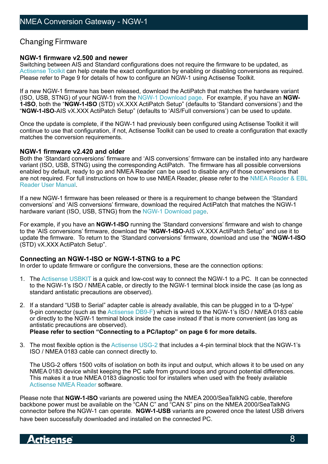# <span id="page-7-0"></span>Changing Firmware

### **NGW-1 firmware v2.500 and newer**

Switching between AIS and Standard configurations does not require the firmware to be updated, as [Actisense Toolkit](https://www.actisense.com/downloads/?product=ngw-1) can help create the exact configuration by enabling or disabling conversions as required. Please refer to Page 9 for details of how to configure an NGW-1 using Actisense Toolkit.

If a new NGW-1 firmware has been released, download the ActiPatch that matches the hardware variant (ISO, USB, STNG) of your NGW-1 from the [NGW-1 Download page](https://www.actisense.com/downloads/?product=ngw-1). For example, if you have an **NGW-1-ISO**, both the "**NGW-1-ISO** (STD) vX.XXX ActiPatch Setup" (defaults to 'Standard conversions') and the "**NGW-1-ISO**-AIS vX.XXX ActiPatch Setup" (defaults to 'AIS/Full conversions') can be used to update.

Once the update is complete, if the NGW-1 had previously been configured using Actisense Toolkit it will continue to use that configuration, if not, Actisense Toolkit can be used to create a configuration that exactly matches the conversion requirements.

#### **NGW-1 firmware v2.420 and older**

Both the 'Standard conversions' firmware and 'AIS conversions' firmware can be installed into any hardware variant (ISO, USB, STNG) using the corresponding ActiPatch. The firmware has all possible conversions enabled by default, ready to go and NMEA Reader can be used to disable any of those conversions that are not required. For full instructions on how to use NMEA Reader, please refer to the [NMEA Reader & EBL](http://www.actisense.com/media/?product=nmea-reader-and-ebl-reader&type=downloads)  [Reader User Manual](http://www.actisense.com/media/?product=nmea-reader-and-ebl-reader&type=downloads).

If a new NGW-1 firmware has been released or there is a requirement to change between the 'Standard conversions' and 'AIS conversions' firmware, download the required ActiPatch that matches the NGW-1 hardware variant (ISO, USB, STNG) from the [NGW-1 Download page](https://www.actisense.com/downloads/?product=ngw-1).

For example, if you have an **NGW-1-ISO** running the 'Standard conversions' firmware and wish to change to the 'AIS conversions' firmware, download the "**NGW-1-ISO**-AIS vX.XXX ActiPatch Setup" and use it to update the firmware. To return to the 'Standard conversions' firmware, download and use the "**NGW-1-ISO** (STD) vX.XXX ActiPatch Setup".

### **Connecting an NGW-1-ISO or NGW-1-STNG to a PC**

In order to update firmware or configure the conversions, these are the connection options:

- 1. The [Actisense USBKIT](https://www.actisense.com/product/usbkit-reg/) is a quick and low-cost way to connect the NGW-1 to a PC. It can be connected to the NGW-1's ISO / NMEA cable, or directly to the NGW-1 terminal block inside the case (as long as standard antistatic precautions are observed).
- 2. If a standard "USB to Serial" adapter cable is already available, this can be plugged in to a 'D-type' 9-pin connector (such as the [Actisense DB9-F\)](https://www.actisense.com/product/db9-f/) which is wired to the NGW-1's ISO / NMEA 0183 cable or directly to the NGW-1 terminal block inside the case instead if that is more convenient (as long as antistatic precautions are observed). **Please refer to section "Connecting to a PC/laptop" on page 6 for more details.**

3. The most flexible option is the [Actisense USG-2](https://www.actisense.com/product/usg-2/) that includes a 4-pin terminal block that the NGW-1's ISO / NMEA 0183 cable can connect directly to.

The USG-2 offers 1500 volts of isolation on both its input and output, which allows it to be used on any NMEA 0183 device whilst keeping the PC safe from ground loops and ground potential differences. This makes it a true NMEA 0183 diagnostic tool for installers when used with the freely available [Actisense NMEA Reader](https://www.actisense.com/product/nmea-reader-and-ebl-reader/) software.

Please note that **NGW-1-ISO** variants are powered using the NMEA 2000/SeaTalkNG cable, therefore backbone power must be available on the "CAN C" and "CAN S" pins on the NMEA 2000/SeaTalkNG connector before the NGW-1 can operate. **NGW-1-USB** variants are powered once the latest USB drivers have been successfully downloaded and installed on the connected PC.

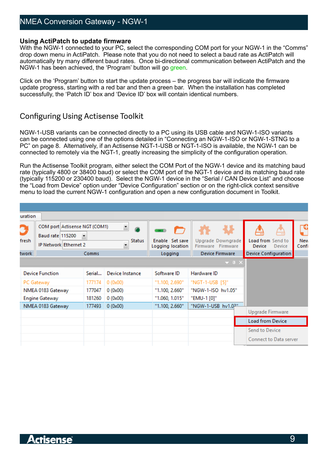# <span id="page-8-0"></span>NMEA Conversion Gateway - NGW-1

#### **Using ActiPatch to update firmware**

With the NGW-1 connected to your PC, select the corresponding COM port for your NGW-1 in the "Comms" drop down menu in ActiPatch. Please note that you do not need to select a baud rate as ActiPatch will automatically try many different baud rates. Once bi-directional communication between ActiPatch and the NGW-1 has been achieved, the 'Program' button will go green.

Click on the 'Program' button to start the update process – the progress bar will indicate the firmware update progress, starting with a red bar and then a green bar. When the installation has completed successfully, the 'Patch ID' box and 'Device ID' box will contain identical numbers.

# Configuring Using Actisense Toolkit

NGW-1-USB variants can be connected directly to a PC using its USB cable and NGW-1-ISO variants can be connected using one of the options detailed in "Connecting an NGW-1-ISO or NGW-1-STNG to a PC" on page 8. Alternatively, if an Actisense NGT-1-USB or NGT-1-ISO is available, the NGW-1 can be connected to remotely via the NGT-1, greatly increasing the simplicity of the configuration operation.

Run the Actisense Toolkit program, either select the COM Port of the NGW-1 device and its matching baud rate (typically 4800 or 38400 baud) or select the COM port of the NGT-1 device and its matching baud rate (typically 115200 or 230400 baud). Select the NGW-1 device in the "Serial / CAN Device List" and choose the "Load from Device" option under "Device Configuration" section or on the right-click context sensitive menu to load the current NGW-1 configuration and open a new configuration document in Toolkit.

| uration             |                                                                            |                                   |                                                                   |                                                |                                                                  |                                                               |                            |
|---------------------|----------------------------------------------------------------------------|-----------------------------------|-------------------------------------------------------------------|------------------------------------------------|------------------------------------------------------------------|---------------------------------------------------------------|----------------------------|
| Э<br>fresh<br>twork | COM port Actisense NGT (COM1)<br>Baud rate 115200<br>IP Network Ethernet 2 | $\overline{\phantom{a}}$<br>Comms | $\overline{\phantom{a}}$<br><b>Status</b><br>$\ddot{\phantom{1}}$ | Enable Set save<br>Logging location<br>Logging | Upgrade Downgrade<br>Firmware Firmware<br><b>Device Firmware</b> | Load from Send to<br>Device<br>Device<br>Device Configuration | ત્ત<br><b>New</b><br>Confi |
|                     |                                                                            |                                   |                                                                   |                                                |                                                                  |                                                               |                            |
|                     |                                                                            |                                   |                                                                   |                                                | $\rightarrow$ 4 $\times$                                         |                                                               |                            |
|                     | <b>Device Function</b>                                                     | Serial                            | Device Instance                                                   | Software ID                                    | Hardware ID                                                      |                                                               |                            |
|                     | PC Gateway                                                                 | 177174                            | 0(0x00)                                                           | "1.100, 2.690"                                 | "NGT-1-USB [5]"                                                  |                                                               |                            |
|                     | NMEA 0183 Gateway                                                          | 177047                            | 0(0x00)                                                           | "1.100, 2.660"                                 | "NGW-1-ISO hv1.05"                                               |                                                               |                            |
|                     | <b>Engine Gateway</b>                                                      | 181260                            | 0(0x00)                                                           | "1.060, 1.015"                                 | "EMU-1 [0]"                                                      |                                                               |                            |
|                     | NMEA 0183 Gateway                                                          | 177493                            | 0(0x00)                                                           | "1.100, 2.660"                                 | "NGW-1-USB hv1.0 <sup>2"</sup>                                   |                                                               |                            |
|                     |                                                                            |                                   |                                                                   |                                                |                                                                  | Upgrade Firmware                                              |                            |
|                     |                                                                            |                                   |                                                                   |                                                |                                                                  | <b>Load from Device</b>                                       |                            |
|                     |                                                                            |                                   |                                                                   |                                                |                                                                  | Send to Device                                                |                            |
|                     |                                                                            |                                   |                                                                   |                                                |                                                                  | Connect to Data server                                        |                            |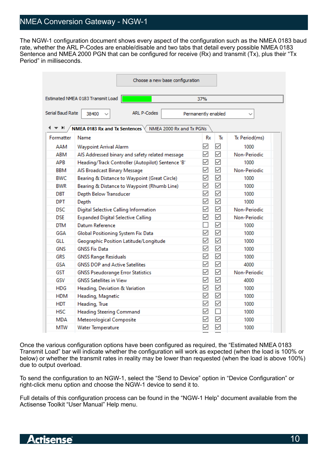# NMEA Conversion Gateway - NGW-1

The NGW-1 configuration document shows every aspect of the configuration such as the NMEA 0183 baud rate, whether the ARL P-Codes are enable/disable and two tabs that detail every possible NMEA 0183 Sentence and NMEA 2000 PGN that can be configured for receive (Rx) and transmit (Tx), plus their "Tx Period" in milliseconds.

|                                                                   | Choose a new base configuration                   |                     |                 |               |
|-------------------------------------------------------------------|---------------------------------------------------|---------------------|-----------------|---------------|
| Estimated NMEA 0183 Transmit Load<br>37%                          |                                                   |                     |                 |               |
| Serial Baud Rate                                                  | <b>ARL P-Codes</b><br>38400                       | Permanently enabled |                 |               |
| ਵ ⊧⊦<br>NMEA 0183 Rx and Tx Sentences<br>NMEA 2000 Rx and Tx PGNs |                                                   |                     |                 |               |
| Formatter                                                         | Name                                              | Rx                  | Тx              | Tx Period(ms) |
| AAM                                                               | Waypoint Arrival Alarm                            | ✓                   | ☑               | 1000          |
| ABM                                                               | AIS Addressed binary and safety related message   | ✓                   | ☑               | Non-Periodic  |
| <b>APB</b>                                                        | Heading/Track Controller (Autopilot) Sentence 'B' | $\checkmark$        | ☑               | 1000          |
| BBM                                                               | AIS Broadcast Binary Message                      | $\checkmark$        | $\triangledown$ | Non-Periodic  |
| <b>BWC</b>                                                        | Bearing & Distance to Waypoint (Great Circle)     | $\checkmark$        | $\triangledown$ | 1000          |
| <b>BWR</b>                                                        | Bearing & Distance to Waypoint (Rhumb Line)       | ✓                   | $\triangledown$ | 1000          |
| DBT                                                               | Depth Below Transducer                            | ✓                   | $\checkmark$    | 1000          |
| <b>DPT</b>                                                        | Depth                                             | $\checkmark$        | $\triangledown$ | 1000          |
| <b>DSC</b>                                                        | Digital Selective Calling Information             | $\checkmark$        | $\triangledown$ | Non-Periodic  |
| <b>DSE</b>                                                        | <b>Expanded Digital Selective Calling</b>         | $\checkmark$        | $\triangledown$ | Non-Periodic  |
| <b>DTM</b>                                                        | Datum Reference                                   |                     | ☑               | 1000          |
| GGA                                                               | Global Positioning System Fix Data                | ✓                   | $\triangledown$ | 1000          |
| GLL                                                               | Geographic Position Latitude/Longitude            | ✓                   | $\triangledown$ | 1000          |
| <b>GNS</b>                                                        | <b>GNSS Fix Data</b>                              | ✓                   | $\triangledown$ | 1000          |
| <b>GRS</b>                                                        | <b>GNSS Range Residuals</b>                       | ✓                   | $\triangledown$ | 1000          |
| <b>GSA</b>                                                        | <b>GNSS DOP and Active Satellites</b>             | ✓                   | ☑               | 4000          |
| GST                                                               | <b>GNSS Pseudorange Error Statistics</b>          | ☑                   | ☑               | Non-Periodic  |
| GSV                                                               | <b>GNSS Satellites in View</b>                    | $\checkmark$        | ☑               | 4000          |
| <b>HDG</b>                                                        | Heading, Deviation & Variation                    | $\checkmark$        | $\triangledown$ | 1000          |
| <b>HDM</b>                                                        | Heading, Magnetic                                 | ▽                   | $\triangledown$ | 1000          |
| <b>HDT</b>                                                        | Heading, True                                     | $\checkmark$        | $\triangledown$ | 1000          |
| <b>HSC</b>                                                        | <b>Heading Steering Command</b>                   | $\checkmark$        | $\Box$          | 1000          |
| <b>MDA</b>                                                        | Meteorological Composite                          | ✓                   | $\triangledown$ | 1000          |
| <b>MTW</b>                                                        | Water Temperature                                 | $\checkmark$        | $\checkmark$    | 1000          |

Once the various configuration options have been configured as required, the "Estimated NMEA 0183 Transmit Load" bar will indicate whether the configuration will work as expected (when the load is 100% or below) or whether the transmit rates in reality may be lower than requested (when the load is above 100%) due to output overload.

To send the configuration to an NGW-1, select the "Send to Device" option in "Device Configuration" or right-click menu option and choose the NGW-1 device to send it to.

Full details of this configuration process can be found in the "NGW-1 Help" document available from the Actisense Toolkit "User Manual" Help menu.

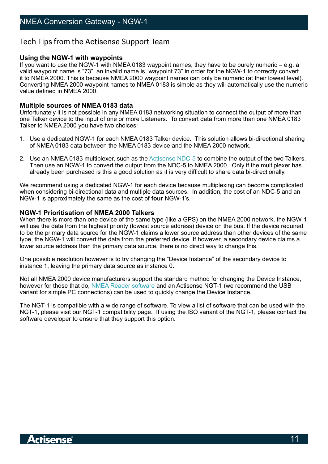# <span id="page-10-0"></span>Tech Tips from the Actisense Support Team

### **Using the NGW-1 with waypoints**

If you want to use the NGW-1 with NMEA 0183 waypoint names, they have to be purely numeric – e.g. a valid waypoint name is "73", an invalid name is "waypoint 73" in order for the NGW-1 to correctly convert it to NMEA 2000. This is because NMEA 2000 waypoint names can only be numeric (at their lowest level). Converting NMEA 2000 waypoint names to NMEA 0183 is simple as they will automatically use the numeric value defined in NMEA 2000.

### **Multiple sources of NMEA 0183 data**

Unfortunately it is not possible in any NMEA 0183 networking situation to connect the output of more than one Talker device to the input of one or more Listeners. To convert data from more than one NMEA 0183 Talker to NMEA 2000 you have two choices:

- 1. Use a dedicated NGW-1 for each NMEA 0183 Talker device. This solution allows bi-directional sharing of NMEA 0183 data between the NMEA 0183 device and the NMEA 2000 network.
- 2. Use an NMEA 0183 multiplexer, such as the [Actisense NDC-5](http://www.actisense.com/product/ndc-5/) to combine the output of the two Talkers. Then use an NGW-1 to convert the output from the NDC-5 to NMEA 2000. Only if the multiplexer has already been purchased is this a good solution as it is very difficult to share data bi-directionally.

We recommend using a dedicated NGW-1 for each device because multiplexing can become complicated when considering bi-directional data and multiple data sources. In addition, the cost of an NDC-5 and an NGW-1 is approximately the same as the cost of **four** NGW-1's.

### **NGW-1 Prioritisation of NMEA 2000 Talkers**

When there is more than one device of the same type (like a GPS) on the NMEA 2000 network, the NGW-1 will use the data from the highest priority (lowest source address) device on the bus. If the device required to be the primary data source for the NGW-1 claims a lower source address than other devices of the same type, the NGW-1 will convert the data from the preferred device. If however, a secondary device claims a lower source address than the primary data source, there is no direct way to change this.

One possible resolution however is to try changing the "Device Instance" of the secondary device to instance 1, leaving the primary data source as instance 0.

Not all NMEA 2000 device manufacturers support the standard method for changing the Device Instance, however for those that do, [NMEA Reader software](http://www.actisense.com/media/?product=nmea-reader-and-ebl-reader&type=downloads) and an Actisense NGT-1 (we recommend the USB variant for simple PC connections) can be used to quickly change the Device Instance.

The NGT-1 is compatible with a wide range of software. To view a list of software that can be used with the NGT-1, please visit our NGT-1 compatibility page. If using the ISO variant of the NGT-1, please contact the software developer to ensure that they support this option.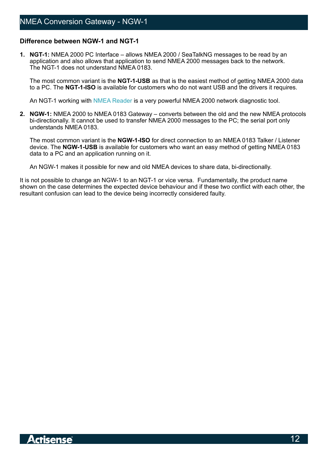### <span id="page-11-0"></span>**Difference between NGW-1 and NGT-1**

**1. NGT-1:** NMEA 2000 PC Interface – allows NMEA 2000 / SeaTalkNG messages to be read by an application and also allows that application to send NMEA 2000 messages back to the network. The NGT-1 does not understand NMEA 0183.

The most common variant is the **NGT-1-USB** as that is the easiest method of getting NMEA 2000 data to a PC. The **NGT-1-ISO** is available for customers who do not want USB and the drivers it requires.

An NGT-1 working with [NMEA Reader](http://www.actisense.com/media/?product=nmea-reader-and-ebl-reader&type=downloads) is a very powerful NMEA 2000 network diagnostic tool.

**2. NGW-1:** NMEA 2000 to NMEA 0183 Gateway – converts between the old and the new NMEA protocols bi-directionally. It cannot be used to transfer NMEA 2000 messages to the PC; the serial port only understands NMEA 0183.

The most common variant is the **NGW-1-ISO** for direct connection to an NMEA 0183 Talker / Listener device. The **NGW-1-USB** is available for customers who want an easy method of getting NMEA 0183 data to a PC and an application running on it.

An NGW-1 makes it possible for new and old NMEA devices to share data, bi-directionally.

It is not possible to change an NGW-1 to an NGT-1 or vice versa. Fundamentally, the product name shown on the case determines the expected device behaviour and if these two conflict with each other, the resultant confusion can lead to the device being incorrectly considered faulty.

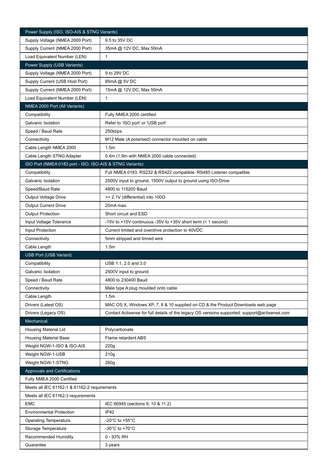<span id="page-12-0"></span>

| Power Supply (ISO, ISO-AIS & STNG Variants)              |                                                                                               |
|----------------------------------------------------------|-----------------------------------------------------------------------------------------------|
| Supply Voltage (NMEA 2000 Port)                          | 9.5 to 35V DC                                                                                 |
| Supply Current (NMEA 2000 Port)                          | 35mA @ 12V DC, Max 50mA                                                                       |
| Load Equivalent Number (LEN)                             | $\mathbf{1}$                                                                                  |
| Power Supply (USB Variants)                              |                                                                                               |
| Supply Voltage (NMEA 2000 Port)                          | 9 to 29V DC                                                                                   |
| Supply Current (USB Host Port)                           | 85mA @ 5V DC                                                                                  |
| Supply Current (NMEA 2000 Port)                          | 15mA @ 12V DC, Max 50mA                                                                       |
| Load Equivalent Number (LEN)                             | $\mathbf{1}$                                                                                  |
| NMEA 2000 Port (All Variants)                            |                                                                                               |
| Compatibility                                            | Fully NMEA 2000 certified                                                                     |
| Galvanic Isolation                                       | Refer to 'ISO port' or 'USB port'                                                             |
| Speed / Baud Rate                                        | 250kbps                                                                                       |
| Connectivity                                             | M12 Male (A polarised) connector moulded on cable                                             |
| Cable Length NMEA 2000                                   | 1.5 <sub>m</sub>                                                                              |
| Cable Length STNG Adapter                                | 0.4m (1.9m with NMEA 2000 cable connected)                                                    |
| ISO Port (NMEA 0183 port - ISO, ISO-AIS & STNG Variants) |                                                                                               |
| Compatibility                                            | Full NMEA 0183, RS232 & RS422 compatible. RS485 Listener compatible                           |
| Galvanic Isolation                                       | 2500V input to ground, 1500V output to ground using ISO-Drive                                 |
| Speed/Baud Rate                                          | 4800 to 115200 Baud                                                                           |
| Output Voltage Drive                                     | $>= 2.1V$ (differential) into 100 $\Omega$                                                    |
| <b>Output Current Drive</b>                              | 20mA max.                                                                                     |
| <b>Output Protection</b>                                 | Short circuit and ESD                                                                         |
| Input Voltage Tolerance                                  | -15V to +15V continuous -35V to +35V short term (< 1 second)                                  |
| Input Protection                                         | Current limited and overdrive protection to 40VDC                                             |
|                                                          |                                                                                               |
| Connectivity                                             | 5mm stripped and tinned wire                                                                  |
| Cable Length                                             | 1.5 <sub>m</sub>                                                                              |
| <b>USB Port (USB Variant)</b>                            |                                                                                               |
| Compatibility                                            | USB 1.1, 2.0 and 3.0                                                                          |
| Galvanic Isolation                                       | 2500V input to ground                                                                         |
| Speed / Baud Rate                                        | 4800 to 230400 Baud                                                                           |
| Connectivity                                             | Male type A plug moulded onto cable                                                           |
| Cable Length                                             | 1.5m                                                                                          |
| Drivers (Latest OS)                                      | MAC OS X, Windows XP, 7, 8 & 10 supplied on CD & the Product Downloads web page               |
| Drivers (Legacy OS)                                      | Contact Actisense for full details of the legacy OS versions supported: support@actisense.com |
| Mechanical                                               |                                                                                               |
| Housing Material Lid                                     | Polycarbonate                                                                                 |
| <b>Housing Material Base</b>                             | Flame retardent ABS                                                                           |
| Weight NGW-1-ISO & ISO-AIS                               | 220g                                                                                          |
| Weight NGW-1-USB                                         | 210g                                                                                          |
| Weight NGW-1-STNG                                        | 260g                                                                                          |
| Approvals and Certifications                             |                                                                                               |
| Fully NMEA 2000 Certified                                |                                                                                               |
| Meets all IEC 61162-1 & 61162-2 requirements             |                                                                                               |
| Meets all IEC 61162-3 requirements                       |                                                                                               |
| <b>EMC</b>                                               | IEC 60945 (sections 9, 10 & 11.2)                                                             |
| <b>Environmental Protection</b>                          | IP42                                                                                          |
| <b>Operating Temperature</b>                             | -20 $^{\circ}$ C to +55 $^{\circ}$ C                                                          |
| Storage Temperature                                      | -30 $^{\circ}$ C to +70 $^{\circ}$ C                                                          |
| Recommended Humidity                                     | 0 - 93% RH                                                                                    |